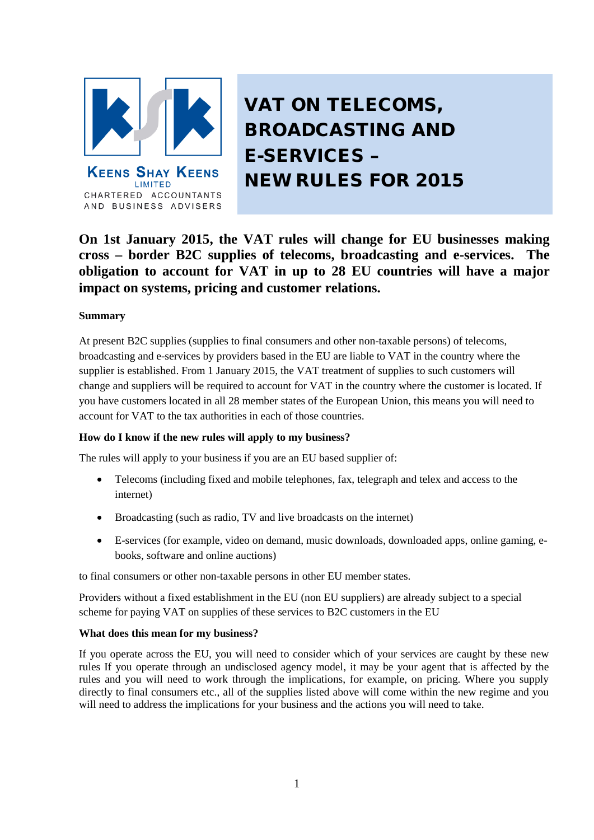

AND BUSINESS ADVISERS

VAT ON TELECOMS, BROADCASTING AND E-SERVICES – NEW RULES FOR 2015

**On 1st January 2015, the VAT rules will change for EU businesses making cross – border B2C supplies of telecoms, broadcasting and e-services. The obligation to account for VAT in up to 28 EU countries will have a major impact on systems, pricing and customer relations.** 

# **Summary**

At present B2C supplies (supplies to final consumers and other non-taxable persons) of telecoms, broadcasting and e-services by providers based in the EU are liable to VAT in the country where the supplier is established. From 1 January 2015, the VAT treatment of supplies to such customers will change and suppliers will be required to account for VAT in the country where the customer is located. If you have customers located in all 28 member states of the European Union, this means you will need to account for VAT to the tax authorities in each of those countries.

# **How do I know if the new rules will apply to my business?**

The rules will apply to your business if you are an EU based supplier of:

- Telecoms (including fixed and mobile telephones, fax, telegraph and telex and access to the internet)
- Broadcasting (such as radio, TV and live broadcasts on the internet)
- E-services (for example, video on demand, music downloads, downloaded apps, online gaming, ebooks, software and online auctions)

to final consumers or other non-taxable persons in other EU member states.

Providers without a fixed establishment in the EU (non EU suppliers) are already subject to a special scheme for paying VAT on supplies of these services to B2C customers in the EU

# **What does this mean for my business?**

If you operate across the EU, you will need to consider which of your services are caught by these new rules If you operate through an undisclosed agency model, it may be your agent that is affected by the rules and you will need to work through the implications, for example, on pricing. Where you supply directly to final consumers etc., all of the supplies listed above will come within the new regime and you will need to address the implications for your business and the actions you will need to take.